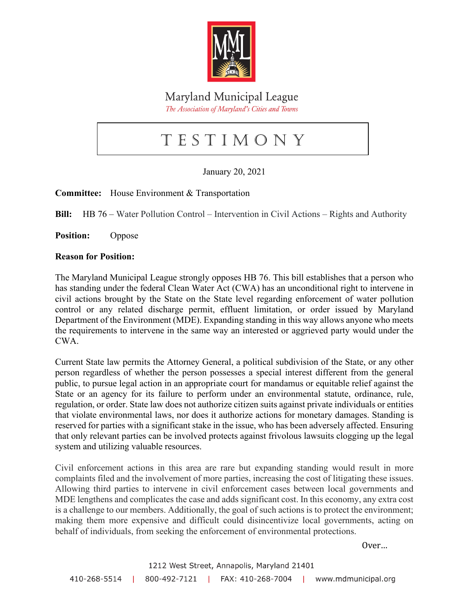

Maryland Municipal League The Association of Maryland's Cities and Towns

## T e s t i m o n y

January 20, 2021

**Committee:** House Environment & Transportation

**Bill:** HB 76 – Water Pollution Control – Intervention in Civil Actions – Rights and Authority

**Position:** Oppose

## **Reason for Position:**

The Maryland Municipal League strongly opposes HB 76. This bill establishes that a person who has standing under the federal Clean Water Act (CWA) has an unconditional right to intervene in civil actions brought by the State on the State level regarding enforcement of water pollution control or any related discharge permit, effluent limitation, or order issued by Maryland Department of the Environment (MDE). Expanding standing in this way allows anyone who meets the requirements to intervene in the same way an interested or aggrieved party would under the CWA.

Current State law permits the Attorney General, a political subdivision of the State, or any other person regardless of whether the person possesses a special interest different from the general public, to pursue legal action in an appropriate court for mandamus or equitable relief against the State or an agency for its failure to perform under an environmental statute, ordinance, rule, regulation, or order. State law does not authorize citizen suits against private individuals or entities that violate environmental laws, nor does it authorize actions for monetary damages. Standing is reserved for parties with a significant stake in the issue, who has been adversely affected. Ensuring that only relevant parties can be involved protects against frivolous lawsuits clogging up the legal system and utilizing valuable resources.

Civil enforcement actions in this area are rare but expanding standing would result in more complaints filed and the involvement of more parties, increasing the cost of litigating these issues. Allowing third parties to intervene in civil enforcement cases between local governments and MDE lengthens and complicates the case and adds significant cost. In this economy, any extra cost is a challenge to our members. Additionally, the goal of such actions is to protect the environment; making them more expensive and difficult could disincentivize local governments, acting on behalf of individuals, from seeking the enforcement of environmental protections.

Over…